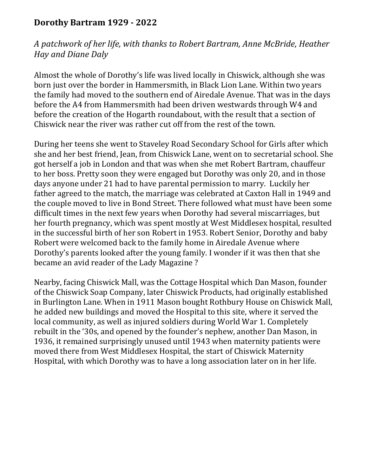## **Dorothy Bartram 1929 - 2022**

*A patchwork of her life, with thanks to Robert Bartram, Anne McBride, Heather Hay and Diane Daly*

Almost the whole of Dorothy's life was lived locally in Chiswick, although she was born just over the border in Hammersmith, in Black Lion Lane. Within two years the family had moved to the southern end of Airedale Avenue. That was in the days before the A4 from Hammersmith had been driven westwards through W4 and before the creation of the Hogarth roundabout, with the result that a section of Chiswick near the river was rather cut off from the rest of the town.

During her teens she went to Staveley Road Secondary School for Girls after which she and her best friend, Jean, from Chiswick Lane, went on to secretarial school. She got herself a job in London and that was when she met Robert Bartram, chauffeur to her boss. Pretty soon they were engaged but Dorothy was only 20, and in those days anyone under 21 had to have parental permission to marry. Luckily her father agreed to the match, the marriage was celebrated at Caxton Hall in 1949 and the couple moved to live in Bond Street. There followed what must have been some difficult times in the next few years when Dorothy had several miscarriages, but her fourth pregnancy, which was spent mostly at West Middlesex hospital, resulted in the successful birth of her son Robert in 1953. Robert Senior, Dorothy and baby Robert were welcomed back to the family home in Airedale Avenue where Dorothy's parents looked after the young family. I wonder if it was then that she became an avid reader of the Lady Magazine ?

Nearby, facing Chiswick Mall, was the Cottage Hospital which Dan Mason, founder of the Chiswick Soap Company, later Chiswick Products, had originally established in Burlington Lane. When in 1911 Mason bought Rothbury House on Chiswick Mall, he added new buildings and moved the Hospital to this site, where it served the local community, as well as injured soldiers during World War 1. Completely rebuilt in the '30s, and opened by the founder's nephew, another Dan Mason, in 1936, it remained surprisingly unused until 1943 when maternity patients were moved there from West Middlesex Hospital, the start of Chiswick Maternity Hospital, with which Dorothy was to have a long association later on in her life.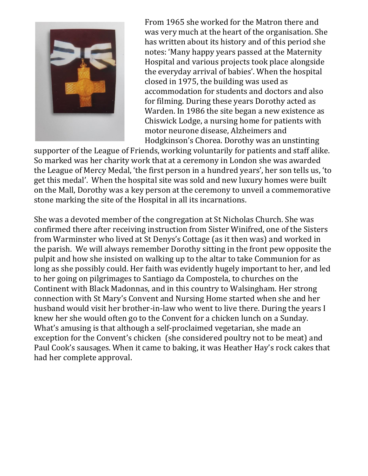

From 1965 she worked for the Matron there and was very much at the heart of the organisation. She has written about its history and of this period she notes: 'Many happy years passed at the Maternity Hospital and various projects took place alongside the everyday arrival of babies'. When the hospital closed in 1975, the building was used as accommodation for students and doctors and also for filming. During these years Dorothy acted as Warden. In 1986 the site began a new existence as Chiswick Lodge, a nursing home for patients with motor neurone disease, Alzheimers and Hodgkinson's Chorea. Dorothy was an unstinting

supporter of the League of Friends, working voluntarily for patients and staff alike. So marked was her charity work that at a ceremony in London she was awarded the League of Mercy Medal, 'the first person in a hundred years', her son tells us, 'to get this medal'. When the hospital site was sold and new luxury homes were built on the Mall, Dorothy was a key person at the ceremony to unveil a commemorative stone marking the site of the Hospital in all its incarnations.

She was a devoted member of the congregation at St Nicholas Church. She was confirmed there after receiving instruction from Sister Winifred, one of the Sisters from Warminster who lived at St Denys's Cottage (as it then was) and worked in the parish. We will always remember Dorothy sitting in the front pew opposite the pulpit and how she insisted on walking up to the altar to take Communion for as long as she possibly could. Her faith was evidently hugely important to her, and led to her going on pilgrimages to Santiago da Compostela, to churches on the Continent with Black Madonnas, and in this country to Walsingham. Her strong connection with St Mary's Convent and Nursing Home started when she and her husband would visit her brother-in-law who went to live there. During the years I knew her she would often go to the Convent for a chicken lunch on a Sunday. What's amusing is that although a self-proclaimed vegetarian, she made an exception for the Convent's chicken (she considered poultry not to be meat) and Paul Cook's sausages. When it came to baking, it was Heather Hay's rock cakes that had her complete approval.